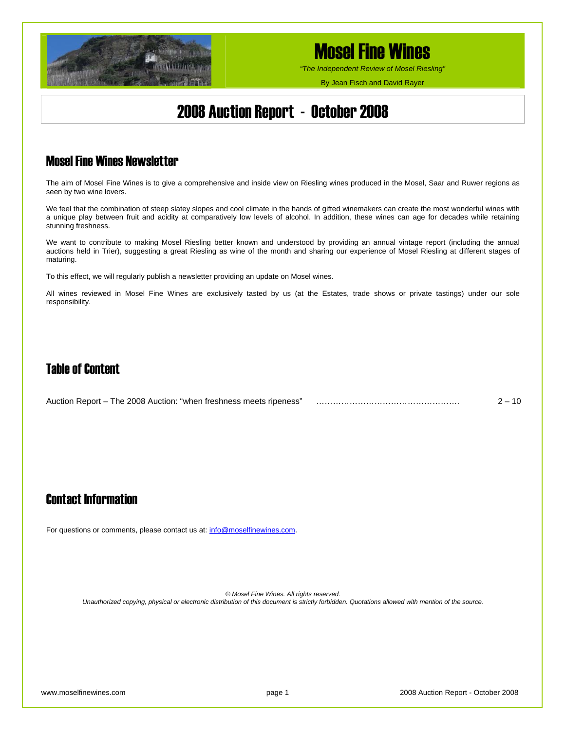

*"The Independent Review of Mosel Riesling"*

By Jean Fisch and David Rayer

## 2008 Auction Report - October 2008

## Mosel Fine Wines Newsletter

The aim of Mosel Fine Wines is to give a comprehensive and inside view on Riesling wines produced in the Mosel, Saar and Ruwer regions as seen by two wine lovers.

We feel that the combination of steep slatey slopes and cool climate in the hands of gifted winemakers can create the most wonderful wines with a unique play between fruit and acidity at comparatively low levels of alcohol. In addition, these wines can age for decades while retaining stunning freshness.

We want to contribute to making Mosel Riesling better known and understood by providing an annual vintage report (including the annual auctions held in Trier), suggesting a great Riesling as wine of the month and sharing our experience of Mosel Riesling at different stages of maturing.

To this effect, we will regularly publish a newsletter providing an update on Mosel wines.

All wines reviewed in Mosel Fine Wines are exclusively tasted by us (at the Estates, trade shows or private tastings) under our sole responsibility.

## Table of Content

| Auction Report – The 2008 Auction: "when freshness meets ripeness" |  | 10 |
|--------------------------------------------------------------------|--|----|
|--------------------------------------------------------------------|--|----|

## Contact Information

For questions or comments, please contact us at: [info@moselfinewines.com](mailto:info@moselfinewines.com).

*© Mosel Fine Wines. All rights reserved.* 

*Unauthorized copying, physical or electronic distribution of this document is strictly forbidden. Quotations allowed with mention of the source.*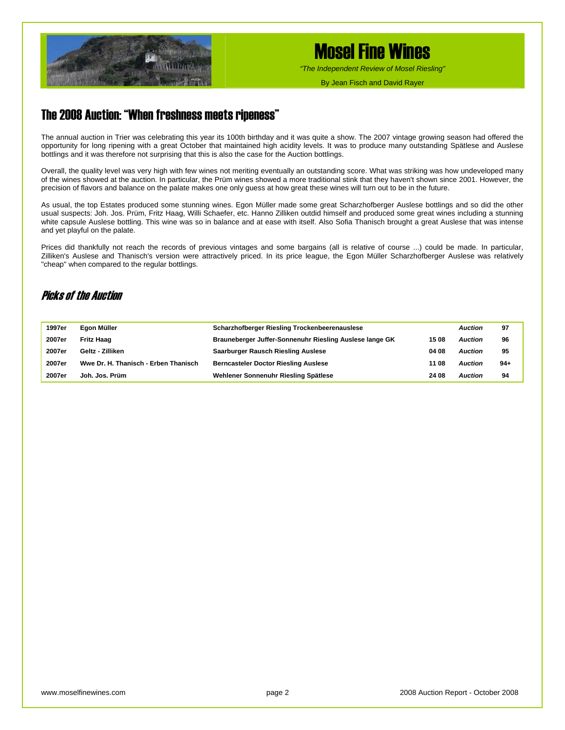

*"The Independent Review of Mosel Riesling"*

By Jean Fisch and David Rayer

## The 2008 Auction: "When freshness meets ripeness"

The annual auction in Trier was celebrating this year its 100th birthday and it was quite a show. The 2007 vintage growing season had offered the opportunity for long ripening with a great October that maintained high acidity levels. It was to produce many outstanding Spätlese and Auslese bottlings and it was therefore not surprising that this is also the case for the Auction bottlings.

Overall, the quality level was very high with few wines not meriting eventually an outstanding score. What was striking was how undeveloped many of the wines showed at the auction. In particular, the Prüm wines showed a more traditional stink that they haven't shown since 2001. However, the precision of flavors and balance on the palate makes one only guess at how great these wines will turn out to be in the future.

As usual, the top Estates produced some stunning wines. Egon Müller made some great Scharzhofberger Auslese bottlings and so did the other usual suspects: Joh. Jos. Prüm, Fritz Haag, Willi Schaefer, etc. Hanno Zilliken outdid himself and produced some great wines including a stunning white capsule Auslese bottling. This wine was so in balance and at ease with itself. Also Sofia Thanisch brought a great Auslese that was intense and yet playful on the palate.

Prices did thankfully not reach the records of previous vintages and some bargains (all is relative of course ...) could be made. In particular, Zilliken's Auslese and Thanisch's version were attractively priced. In its price league, the Egon Müller Scharzhofberger Auslese was relatively "cheap" when compared to the regular bottlings.

### Picks of the Auction

| 1997er | Egon Müller                          | <b>Scharzhofberger Riesling Trockenbeerenauslese</b>    |       | <b>Auction</b> | 97    |
|--------|--------------------------------------|---------------------------------------------------------|-------|----------------|-------|
| 2007er | <b>Fritz Haag</b>                    | Brauneberger Juffer-Sonnenuhr Riesling Auslese lange GK | 15 08 | <b>Auction</b> | 96    |
| 2007er | Geltz - Zilliken                     | Saarburger Rausch Riesling Auslese                      | 04 08 | <b>Auction</b> | 95    |
| 2007er | Wwe Dr. H. Thanisch - Erben Thanisch | <b>Berncasteler Doctor Riesling Auslese</b>             | 11 08 | <b>Auction</b> | $94+$ |
| 2007er | Joh. Jos. Prüm                       | Wehlener Sonnenuhr Riesling Spätlese                    | 24 08 | <b>Auction</b> | 94    |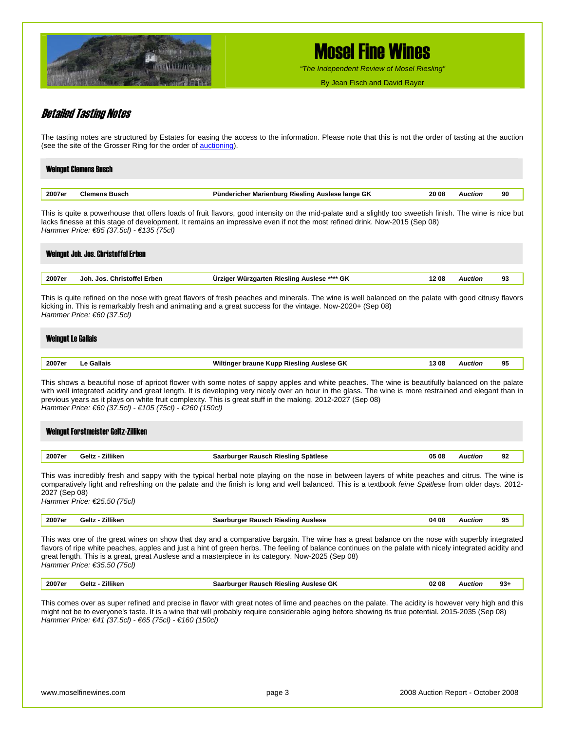

*"The Independent Review of Mosel Riesling"*

By Jean Fisch and David Rayer

### Detailed Tasting Notes

The tasting notes are structured by Estates for easing the access to the information. Please note that this is not the order of tasting at the auction (see the site of the Grosser Ring for the order of [auctioning](http://grosserring.de/cms/front_content.php?idcat=108)).

|        | <b>Weingut Clemens Busch</b> |                                                  |       |                |    |
|--------|------------------------------|--------------------------------------------------|-------|----------------|----|
| 2007er | <b>Clemens Busch</b>         | Pündericher Marienburg Riesling Auslese lange GK | 20 08 | <b>Auction</b> | 90 |

This is quite a powerhouse that offers loads of fruit flavors, good intensity on the mid-palate and a slightly too sweetish finish. The wine is nice but lacks finesse at this stage of development. It remains an impressive even if not the most refined drink. Now-2015 (Sep 08) *Hammer Price: €85 (37.5cl) - €135 (75cl)* 

| 2007er | Joh. Jos. Christoffel Erben                               | Ürziger Würzgarten Riesling Auslese **** GK                                                                                                                                                                                                                         | 1208 | <b>Auction</b> | 93 |
|--------|-----------------------------------------------------------|---------------------------------------------------------------------------------------------------------------------------------------------------------------------------------------------------------------------------------------------------------------------|------|----------------|----|
|        | Hammer Price: $€60$ (37.5cl)<br><b>Weingut Le Gallais</b> | This is quite refined on the nose with great flavors of fresh peaches and minerals. The wine is well balanced on the palate with good citrusy flavors<br>kicking in. This is remarkably fresh and animating and a great success for the vintage. Now-2020+ (Sep 08) |      |                |    |
|        | Le Gallais                                                | Wiltinger braune Kupp Riesling Auslese GK                                                                                                                                                                                                                           | 1308 | <b>Auction</b> | 95 |

*Hammer Price: €60 (37.5cl) - €105 (75cl) - €260 (150cl)* 

|        | Weingut Forstmeister Geltz-Zilliken |                                     |       |                |    |
|--------|-------------------------------------|-------------------------------------|-------|----------------|----|
|        |                                     |                                     |       |                |    |
| 2007er | Geltz - Zilliken                    | Saarburger Rausch Riesling Spätlese | 05 08 | <b>Auction</b> | 92 |

This was incredibly fresh and sappy with the typical herbal note playing on the nose in between layers of white peaches and citrus. The wine is comparatively light and refreshing on the palate and the finish is long and well balanced. This is a textbook *feine Spätlese* from older days. 2012- 2027 (Sep 08)

*Hammer Price: €25.50 (75cl)* 

| 2007er | Zilliken<br>Geltz | Auslese<br>ourger<br>Rausch<br>. Rieslinc<br>маа | 04 08 | Auction | പ<br>ະບ |
|--------|-------------------|--------------------------------------------------|-------|---------|---------|
|--------|-------------------|--------------------------------------------------|-------|---------|---------|

This was one of the great wines on show that day and a comparative bargain. The wine has a great balance on the nose with superbly integrated flavors of ripe white peaches, apples and just a hint of green herbs. The feeling of balance continues on the palate with nicely integrated acidity and great length. This is a great, great Auslese and a masterpiece in its category. Now-2025 (Sep 08) *Hammer Price: €35.50 (75cl)* 

| <b>7illiken</b><br>$\sim$<br>' 08<br>ົ<br>ieltz<br>auerh<br>™ieslina .<br>Aucloco<br>uctior.<br>υn<br>.UZ<br>ສວະ<br><b>TUNEAL</b><br>BAUSUL BIES<br>.<br>.<br>____ | 2007er |
|--------------------------------------------------------------------------------------------------------------------------------------------------------------------|--------|
|--------------------------------------------------------------------------------------------------------------------------------------------------------------------|--------|

This comes over as super refined and precise in flavor with great notes of lime and peaches on the palate. The acidity is however very high and this might not be to everyone's taste. It is a wine that will probably require considerable aging before showing its true potential. 2015-2035 (Sep 08) *Hammer Price: €41 (37.5cl) - €65 (75cl) - €160 (150cl)*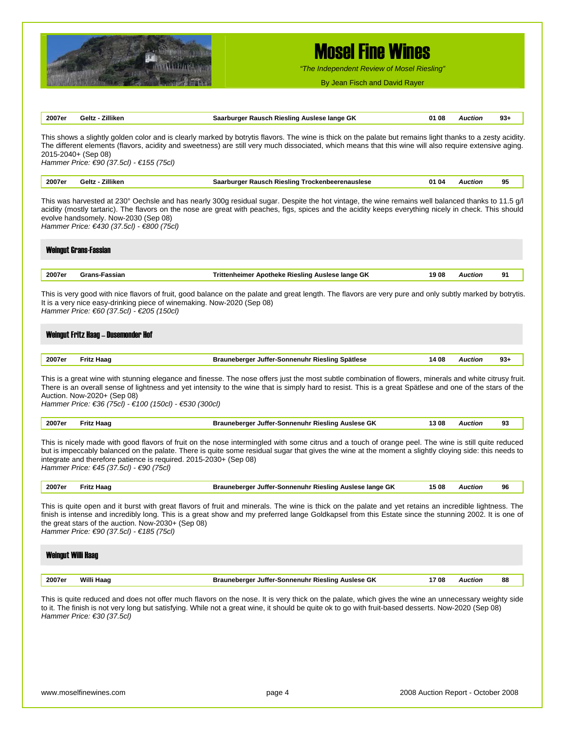

*"The Independent Review of Mosel Riesling"*

By Jean Fisch and David Rayer

| 2007er                    | Geltz - Zilliken                                                                                                                                           | Saarburger Rausch Riesling Auslese lange GK                                                                                                                                                                                                                                                                          | 01 08 | <b>Auction</b> | $93+$ |
|---------------------------|------------------------------------------------------------------------------------------------------------------------------------------------------------|----------------------------------------------------------------------------------------------------------------------------------------------------------------------------------------------------------------------------------------------------------------------------------------------------------------------|-------|----------------|-------|
|                           | 2015-2040+ (Sep 08)<br>Hammer Price: €90 (37.5cl) - €155 (75cl)                                                                                            | This shows a slightly golden color and is clearly marked by botrytis flavors. The wine is thick on the palate but remains light thanks to a zesty acidity.<br>The different elements (flavors, acidity and sweetness) are still very much dissociated, which means that this wine will also require extensive aging. |       |                |       |
| 2007er                    | Geltz - Zilliken                                                                                                                                           | Saarburger Rausch Riesling Trockenbeerenauslese                                                                                                                                                                                                                                                                      | 01 04 | <b>Auction</b> | 95    |
|                           | evolve handsomely. Now-2030 (Sep 08)<br>Hammer Price: €430 (37.5cl) - €800 (75cl)                                                                          | This was harvested at 230° Oechsle and has nearly 300g residual sugar. Despite the hot vintage, the wine remains well balanced thanks to 11.5 g/l<br>acidity (mostly tartaric). The flavors on the nose are great with peaches, figs, spices and the acidity keeps everything nicely in check. This should           |       |                |       |
|                           | <b>Weingut Grans-Fassian</b>                                                                                                                               |                                                                                                                                                                                                                                                                                                                      |       |                |       |
| 2007er                    | <b>Grans-Fassian</b>                                                                                                                                       | Trittenheimer Apotheke Riesling Auslese lange GK                                                                                                                                                                                                                                                                     | 1908  | <b>Auction</b> | 91    |
|                           | It is a very nice easy-drinking piece of winemaking. Now-2020 (Sep 08)<br>Hammer Price: €60 (37.5cl) - €205 (150cl)<br>Weingut Fritz Haag - Dusemonder Hof | This is very good with nice flavors of fruit, good balance on the palate and great length. The flavors are very pure and only subtly marked by botrytis.                                                                                                                                                             |       |                |       |
| 2007er                    | <b>Fritz Haag</b>                                                                                                                                          | Brauneberger Juffer-Sonnenuhr Riesling Spätlese                                                                                                                                                                                                                                                                      | 14 08 | <b>Auction</b> | $93+$ |
|                           | Auction. Now-2020+ (Sep 08)<br>Hammer Price: €36 (75cl) - €100 (150cl) - €530 (300cl)                                                                      | This is a great wine with stunning elegance and finesse. The nose offers just the most subtle combination of flowers, minerals and white citrusy fruit.<br>There is an overall sense of lightness and yet intensity to the wine that is simply hard to resist. This is a great Spätlese and one of the stars of the  |       |                |       |
| 2007er                    | <b>Fritz Haag</b>                                                                                                                                          | Brauneberger Juffer-Sonnenuhr Riesling Auslese GK                                                                                                                                                                                                                                                                    | 13 08 | <b>Auction</b> | 93    |
|                           | integrate and therefore patience is required. 2015-2030+ (Sep 08)<br>Hammer Price: €45 (37.5cl) - €90 (75cl)                                               | This is nicely made with good flavors of fruit on the nose intermingled with some citrus and a touch of orange peel. The wine is still quite reduced<br>but is impeccably balanced on the palate. There is quite some residual sugar that gives the wine at the moment a slightly cloying side: this needs to        |       |                |       |
| 2007er                    | <b>Fritz Haag</b>                                                                                                                                          | Brauneberger Juffer-Sonnenuhr Riesling Auslese lange GK                                                                                                                                                                                                                                                              | 15 08 | <b>Auction</b> | 96    |
|                           | the great stars of the auction. Now-2030+ (Sep 08)<br>Hammer Price: €90 (37.5cl) - €185 (75cl)                                                             | This is quite open and it burst with great flavors of fruit and minerals. The wine is thick on the palate and yet retains an incredible lightness. The<br>finish is intense and incredibly long. This is a great show and my preferred lange Goldkapsel from this Estate since the stunning 2002. It is one of       |       |                |       |
| <b>Weingut Willi Haag</b> |                                                                                                                                                            |                                                                                                                                                                                                                                                                                                                      |       |                |       |
| 2007er                    | Willi Haag                                                                                                                                                 | Brauneberger Juffer-Sonnenuhr Riesling Auslese GK                                                                                                                                                                                                                                                                    | 1708  | <b>Auction</b> | 88    |
|                           | Hammer Price: €30 (37.5cl)                                                                                                                                 | This is quite reduced and does not offer much flavors on the nose. It is very thick on the palate, which gives the wine an unnecessary weighty side<br>to it. The finish is not very long but satisfying. While not a great wine, it should be quite ok to go with fruit-based desserts. Now-2020 (Sep 08)           |       |                |       |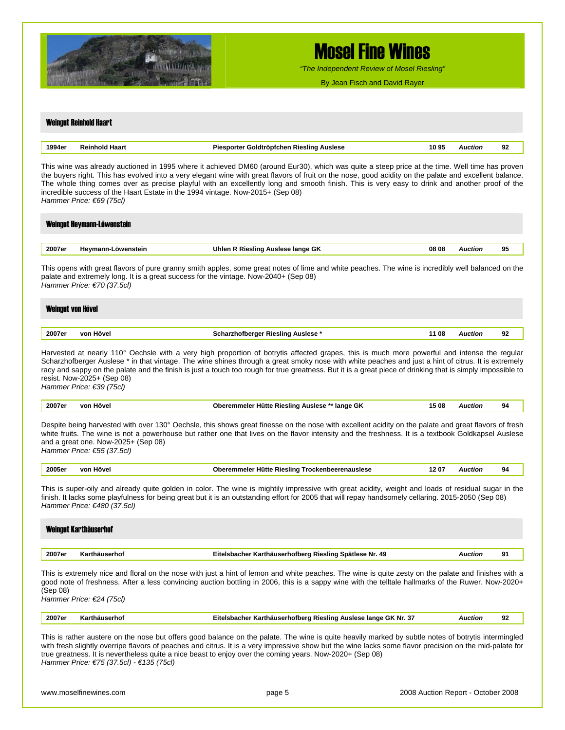

*"The Independent Review of Mosel Riesling"*

By Jean Fisch and David Rayer

#### Weingut Reinhold Haart

| 1994er | ыл | uslese<br><b>Contract Contract</b> | v | ткн | 92 |
|--------|----|------------------------------------|---|-----|----|
|        |    |                                    |   |     |    |

This wine was already auctioned in 1995 where it achieved DM60 (around Eur30), which was quite a steep price at the time. Well time has proven the buyers right. This has evolved into a very elegant wine with great flavors of fruit on the nose, good acidity on the palate and excellent balance. The whole thing comes over as precise playful with an excellently long and smooth finish. This is very easy to drink and another proof of the incredible success of the Haart Estate in the 1994 vintage. Now-2015+ (Sep 08) *Hammer Price: €69 (75cl)* 

# Weingut Heymann-Löwenstein

| 2007er<br>----- | Hevmann-<br>öwenstein<br>п١ | Uhlen<br>≅lange GK<br><b>Riesling</b> |  | . | 95<br>$\sim$ |
|-----------------|-----------------------------|---------------------------------------|--|---|--------------|
|                 |                             |                                       |  |   |              |

This opens with great flavors of pure granny smith apples, some great notes of lime and white peaches. The wine is incredibly well balanced on the palate and extremely long. It is a great success for the vintage. Now-2040+ (Sep 08) *Hammer Price: €70 (37.5cl)* 

# Weingut von Hövel

| 2007er<br>. | <br>vor<br>Höver | Auslese<br>slınc<br>. | 08 | uction.<br>. | 92<br>$\sim$ |
|-------------|------------------|-----------------------|----|--------------|--------------|
|             |                  |                       |    |              |              |

Harvested at nearly 110° Oechsle with a very high proportion of botrytis affected grapes, this is much more powerful and intense the regular Scharzhofberger Auslese \* in that vintage. The wine shines through a great smoky nose with white peaches and just a hint of citrus. It is extremely racy and sappy on the palate and the finish is just a touch too rough for true greatness. But it is a great piece of drinking that is simply impossible to resist. Now-2025+ (Sep 08) *Hammer Price: €39 (75cl)* 

| 2007er<br>. | vor<br>löve' | $\sim$<br>.5 08<br>Hütte<br>∙ Rieslino<br>lange<br>Auslese<br>. .<br>۰ur<br>$\sim$ | Auction | 94 |
|-------------|--------------|------------------------------------------------------------------------------------|---------|----|
|-------------|--------------|------------------------------------------------------------------------------------|---------|----|

Despite being harvested with over 130° Oechsle, this shows great finesse on the nose with excellent acidity on the palate and great flavors of fresh white fruits. The wine is not a powerhouse but rather one that lives on the flavor intensity and the freshness. It is a textbook Goldkapsel Auslese and a great one. Now-2025+ (Sep 08) *Hammer Price: €55 (37.5cl)* 

| Hövel<br>2005er<br>1207<br>r Hütte Riesling<br>von<br>Oberemmeler<br>Trockenbeerenauslese<br>Wctior | o۸<br>-- |
|-----------------------------------------------------------------------------------------------------|----------|
|-----------------------------------------------------------------------------------------------------|----------|

This is super-oily and already quite golden in color. The wine is mightily impressive with great acidity, weight and loads of residual sugar in the finish. It lacks some playfulness for being great but it is an outstanding effort for 2005 that will repay handsomely cellaring. 2015-2050 (Sep 08) *Hammer Price: €480 (37.5cl)* 

|        | Weingut Karthäuserhof |                                                                                                                                                      |                |    |
|--------|-----------------------|------------------------------------------------------------------------------------------------------------------------------------------------------|----------------|----|
| 2007er | Karthäuserhof         | Eitelsbacher Karthäuserhofberg Riesling Spätlese Nr. 49                                                                                              | <b>Auction</b> | 91 |
|        |                       | This is extremely nice and floral on the nose with just a hint of lemon and white peaches. The wine is quite zesty on the palate and finishes with a |                |    |

good note of freshness. After a less convincing auction bottling in 2006, this is a sappy wine with the telltale hallmarks of the Ruwer. Now-2020+ (Sep 08) *Hammer Price: €24 (75cl)* 

| 2007er | 2.<br>. GK<br>. Nr<br><b>Rieslino</b><br>Auslese<br>. Iange<br>"norberc<br>rtnauser<br>snacne<br>−…<br>rм.<br>. | <b>AUCtIOF</b> | ດາ<br>∍י |  |
|--------|-----------------------------------------------------------------------------------------------------------------|----------------|----------|--|
|        |                                                                                                                 |                |          |  |

This is rather austere on the nose but offers good balance on the palate. The wine is quite heavily marked by subtle notes of botrytis intermingled with fresh slightly overripe flavors of peaches and citrus. It is a very impressive show but the wine lacks some flavor precision on the mid-palate for true greatness. It is nevertheless quite a nice beast to enjoy over the coming years. Now-2020+ (Sep 08) *Hammer Price: €75 (37.5cl) - €135 (75cl)*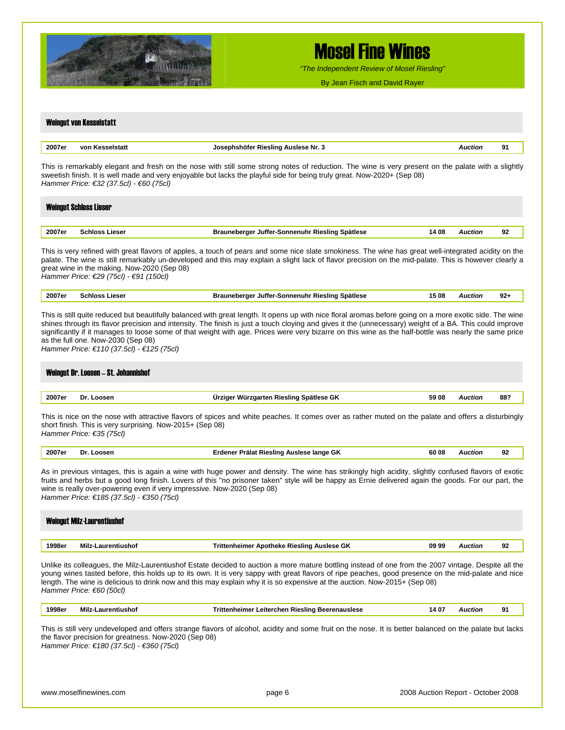

*"The Independent Review of Mosel Riesling"*

By Jean Fisch and David Rayer

## Weingut von Kesselstatt **2007er von Kesselstatt Josephshöfer Riesling Auslese Nr. 3** *Auction* **91** This is remarkably elegant and fresh on the nose with still some strong notes of reduction. The wine is very present on the palate with a slightly sweetish finish. It is well made and very enjoyable but lacks the playful side for being truly great. Now-2020+ (Sep 08) *Hammer Price: €32 (37.5cl) - €60 (75cl)*  Weingut Schloss Lieser **2007er Schloss Lieser Brauneberger Juffer-Sonnenuhr Riesling Spätlese 14 08** *Auction* **92** This is very refined with great flavors of apples, a touch of pears and some nice slate smokiness. The wine has great well-integrated acidity on the palate. The wine is still remarkably un-developed and this may explain a slight lack of flavor precision on the mid-palate. This is however clearly a great wine in the making. Now-2020 (Sep 08) *Hammer Price: €29 (75cl) - €91 (150cl)*  **2007er Schloss Lieser Brauneberger Juffer-Sonnenuhr Riesling Spätlese 15 08** *Auction* **92+** This is still quite reduced but beautifully balanced with great length. It opens up with nice floral aromas before going on a more exotic side. The wine shines through its flavor precision and intensity. The finish is just a touch cloying and gives it the (unnecessary) weight of a BA. This could improve significantly if it manages to loose some of that weight with age. Prices were very bizarre on this wine as the half-bottle was nearly the same price as the full one. Now-2030 (Sep 08) *Hammer Price: €110 (37.5cl) - €125 (75cl)*  Weingut Dr. Loosen – St. Johannishof **2007er Dr. Loosen Ürziger Würzgarten Riesling Spätlese GK 59 08** *Auction* **88?** This is nice on the nose with attractive flavors of spices and white peaches. It comes over as rather muted on the palate and offers a disturbingly short finish. This is very surprising. Now-2015+ (Sep 08) *Hammer Price: €35 (75cl)*  **2007er Dr. Loosen Erdener Prälat Riesling Auslese lange GK 60 08** *Auction* **92** As in previous vintages, this is again a wine with huge power and density. The wine has strikingly high acidity, slightly confused flavors of exotic fruits and herbs but a good long finish. Lovers of this "no prisoner taken" style will be happy as Ernie delivered again the goods. For our part, the wine is really over-powering even if very impressive. Now-2020 (Sep 08) *Hammer Price: €185 (37.5cl) - €350 (75cl)*  Weingut Milz-Laurentiushof **1998er Milz-Laurentiushof Trittenheimer Apotheke Riesling Auslese GK 09 99** *Auction* **92** Unlike its colleagues, the Milz-Laurentiushof Estate decided to auction a more mature bottling instead of one from the 2007 vintage. Despite all the young wines tasted before, this holds up to its own. It is very sappy with great flavors of ripe peaches, good presence on the mid-palate and nice length. The wine is delicious to drink now and this may explain why it is so expensive at the auction. Now-2015+ (Sep 08) *Hammer Price: €60 (50cl)*  **1998er Milz-Laurentiushof Trittenheimer Leiterchen Riesling Beerenauslese 14 07** *Auction* **91** This is still very undeveloped and offers strange flavors of alcohol, acidity and some fruit on the nose. It is better balanced on the palate but lacks the flavor precision for greatness. Now-2020 (Sep 08) *Hammer Price: €180 (37.5cl) - €360 (75cl)*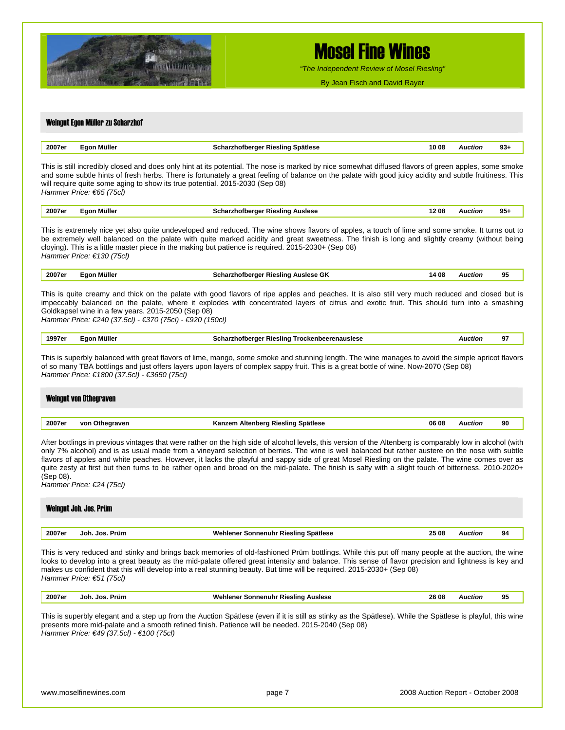

*"The Independent Review of Mosel Riesling"*

By Jean Fisch and David Rayer

| 2007er           | Egon Müller                                                                                                    | Scharzhofberger Riesling Spätlese                                                                                                                                                                                                                                                                                                                                                                                                                                                                                                                                                                                         | 10 08 | <b>Auction</b> | $93+$ |
|------------------|----------------------------------------------------------------------------------------------------------------|---------------------------------------------------------------------------------------------------------------------------------------------------------------------------------------------------------------------------------------------------------------------------------------------------------------------------------------------------------------------------------------------------------------------------------------------------------------------------------------------------------------------------------------------------------------------------------------------------------------------------|-------|----------------|-------|
|                  | Hammer Price: €65 (75cl)                                                                                       | This is still incredibly closed and does only hint at its potential. The nose is marked by nice somewhat diffused flavors of green apples, some smoke<br>and some subtle hints of fresh herbs. There is fortunately a great feeling of balance on the palate with good juicy acidity and subtle fruitiness. This<br>will require quite some aging to show its true potential. 2015-2030 (Sep 08)                                                                                                                                                                                                                          |       |                |       |
| 2007er           | Egon Müller                                                                                                    | <b>Scharzhofberger Riesling Auslese</b>                                                                                                                                                                                                                                                                                                                                                                                                                                                                                                                                                                                   | 1208  | <b>Auction</b> | $95+$ |
|                  | Hammer Price: €130 (75cl)                                                                                      | This is extremely nice yet also quite undeveloped and reduced. The wine shows flavors of apples, a touch of lime and some smoke. It turns out to<br>be extremely well balanced on the palate with quite marked acidity and great sweetness. The finish is long and slightly creamy (without being<br>cloying). This is a little master piece in the making but patience is required. 2015-2030+ (Sep 08)                                                                                                                                                                                                                  |       |                |       |
| 2007er           | Egon Müller                                                                                                    | Scharzhofberger Riesling Auslese GK                                                                                                                                                                                                                                                                                                                                                                                                                                                                                                                                                                                       | 14 08 | <b>Auction</b> | 95    |
|                  | Goldkapsel wine in a few years. 2015-2050 (Sep 08)<br>Hammer Price: €240 (37.5cl) - €370 (75cl) - €920 (150cl) | This is quite creamy and thick on the palate with good flavors of ripe apples and peaches. It is also still very much reduced and closed but is<br>impeccably balanced on the palate, where it explodes with concentrated layers of citrus and exotic fruit. This should turn into a smashing                                                                                                                                                                                                                                                                                                                             |       |                |       |
| 1997er           | Egon Müller                                                                                                    | <b>Scharzhofberger Riesling Trockenbeerenauslese</b>                                                                                                                                                                                                                                                                                                                                                                                                                                                                                                                                                                      |       | <b>Auction</b> | 97    |
|                  | Hammer Price: €1800 (37.5cl) - €3650 (75cl)<br><b>Weingut von Othegraven</b>                                   |                                                                                                                                                                                                                                                                                                                                                                                                                                                                                                                                                                                                                           |       |                |       |
|                  |                                                                                                                |                                                                                                                                                                                                                                                                                                                                                                                                                                                                                                                                                                                                                           |       |                |       |
|                  | von Othegraven                                                                                                 | Kanzem Altenberg Riesling Spätlese                                                                                                                                                                                                                                                                                                                                                                                                                                                                                                                                                                                        | 06 08 | <b>Auction</b> | 90    |
|                  | Hammer Price: €24 (75cl)<br>Weingut Joh. Jos. Prüm                                                             | After bottlings in previous vintages that were rather on the high side of alcohol levels, this version of the Altenberg is comparably low in alcohol (with<br>only 7% alcohol) and is as usual made from a vineyard selection of berries. The wine is well balanced but rather austere on the nose with subtle<br>flavors of apples and white peaches. However, it lacks the playful and sappy side of great Mosel Riesling on the palate. The wine comes over as<br>quite zesty at first but then turns to be rather open and broad on the mid-palate. The finish is salty with a slight touch of bitterness. 2010-2020+ |       |                |       |
| 2007er<br>2007er | Joh. Jos. Prüm                                                                                                 | Wehlener Sonnenuhr Riesling Spätlese                                                                                                                                                                                                                                                                                                                                                                                                                                                                                                                                                                                      | 25 08 | <b>Auction</b> | 94    |
| (Sep 08).        | Hammer Price: €51 (75cl)                                                                                       | This is very reduced and stinky and brings back memories of old-fashioned Prüm bottlings. While this put off many people at the auction, the wine<br>looks to develop into a great beauty as the mid-palate offered great intensity and balance. This sense of flavor precision and lightness is key and<br>makes us confident that this will develop into a real stunning beauty. But time will be required. 2015-2030+ (Sep 08)                                                                                                                                                                                         |       |                |       |
| 2007er           | Joh. Jos. Prüm                                                                                                 | <b>Wehlener Sonnenuhr Riesling Auslese</b>                                                                                                                                                                                                                                                                                                                                                                                                                                                                                                                                                                                | 26 08 | <b>Auction</b> | 95    |
|                  | Hammer Price: €49 (37.5cl) - €100 (75cl)                                                                       | This is superbly elegant and a step up from the Auction Spätlese (even if it is still as stinky as the Spätlese). While the Spätlese is playful, this wine<br>presents more mid-palate and a smooth refined finish. Patience will be needed. 2015-2040 (Sep 08)                                                                                                                                                                                                                                                                                                                                                           |       |                |       |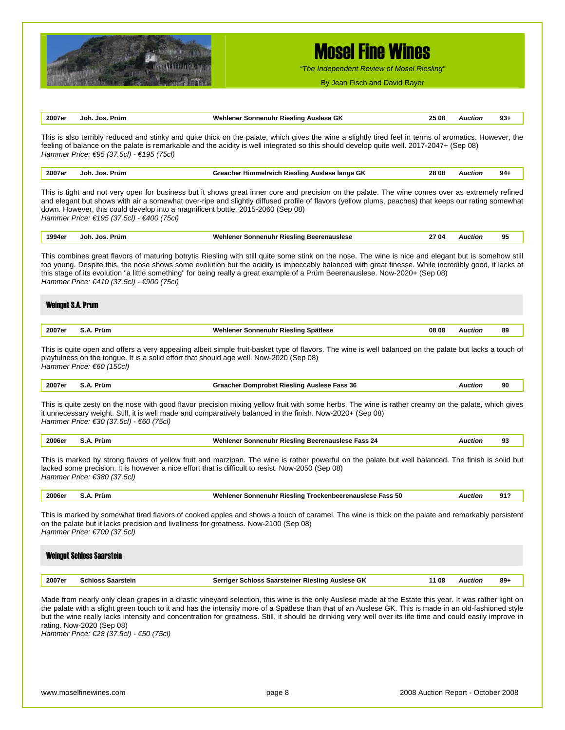

*"The Independent Review of Mosel Riesling"*

By Jean Fisch and David Rayer

| 2007er<br>Joh. Jos. Prüm<br>25 08<br>Wehlener Sonnenuhr Riesling Auslese GK<br>This is also terribly reduced and stinky and quite thick on the palate, which gives the wine a slightly tired feel in terms of aromatics. However, the<br>feeling of balance on the palate is remarkable and the acidity is well integrated so this should develop quite well. 2017-2047+ (Sep 08)<br>Hammer Price: €95 (37.5cl) - €195 (75cl)<br>Joh. Jos. Prüm<br>2007er<br>Graacher Himmelreich Riesling Auslese lange GK<br>28 08<br>This is tight and not very open for business but it shows great inner core and precision on the palate. The wine comes over as extremely refined<br>and elegant but shows with air a somewhat over-ripe and slightly diffused profile of flavors (yellow plums, peaches) that keeps our rating somewhat<br>down. However, this could develop into a magnificent bottle. 2015-2060 (Sep 08)<br>Hammer Price: €195 (37.5cl) - €400 (75cl)<br>1994er<br>Joh. Jos. Prüm<br>Wehlener Sonnenuhr Riesling Beerenauslese<br>27 04<br>This combines great flavors of maturing botrytis Riesling with still quite some stink on the nose. The wine is nice and elegant but is somehow still<br>too young. Despite this, the nose shows some evolution but the acidity is impeccably balanced with great finesse. While incredibly good, it lacks at<br>this stage of its evolution "a little something" for being really a great example of a Prüm Beerenauslese. Now-2020+ (Sep 08)<br>Hammer Price: €410 (37.5cl) - €900 (75cl)<br><b>Weingut S.A. Prüm</b><br>2007er<br>S.A. Prüm<br>Wehlener Sonnenuhr Riesling Spätlese<br>08 08<br>This is quite open and offers a very appealing albeit simple fruit-basket type of flavors. The wine is well balanced on the palate but lacks a touch of<br>playfulness on the tongue. It is a solid effort that should age well. Now-2020 (Sep 08)<br>Hammer Price: €60 (150cl)<br>2007er<br>S.A. Prüm<br><b>Graacher Domprobst Riesling Auslese Fass 36</b><br>This is quite zesty on the nose with good flavor precision mixing yellow fruit with some herbs. The wine is rather creamy on the palate, which gives<br>it unnecessary weight. Still, it is well made and comparatively balanced in the finish. Now-2020+ (Sep 08)<br>Hammer Price: €30 (37.5cl) - €60 (75cl)<br>2006er<br>S.A. Prüm<br>Wehlener Sonnenuhr Riesling Beerenauslese Fass 24<br>This is marked by strong flavors of yellow fruit and marzipan. The wine is rather powerful on the palate but well balanced. The finish is solid but | <b>Auction</b><br><b>Auction</b><br><b>Auction</b><br><b>Auction</b><br><b>Auction</b> | $93+$<br>$94+$<br>95<br>89<br>90 |
|-------------------------------------------------------------------------------------------------------------------------------------------------------------------------------------------------------------------------------------------------------------------------------------------------------------------------------------------------------------------------------------------------------------------------------------------------------------------------------------------------------------------------------------------------------------------------------------------------------------------------------------------------------------------------------------------------------------------------------------------------------------------------------------------------------------------------------------------------------------------------------------------------------------------------------------------------------------------------------------------------------------------------------------------------------------------------------------------------------------------------------------------------------------------------------------------------------------------------------------------------------------------------------------------------------------------------------------------------------------------------------------------------------------------------------------------------------------------------------------------------------------------------------------------------------------------------------------------------------------------------------------------------------------------------------------------------------------------------------------------------------------------------------------------------------------------------------------------------------------------------------------------------------------------------------------------------------------------------------------------------------------------------------------------------------------------------------------------------------------------------------------------------------------------------------------------------------------------------------------------------------------------------------------------------------------------------------------------------------------------------------------------------------------------------------------------------------------------------------------------------------------------------------------------------------------------------|----------------------------------------------------------------------------------------|----------------------------------|
|                                                                                                                                                                                                                                                                                                                                                                                                                                                                                                                                                                                                                                                                                                                                                                                                                                                                                                                                                                                                                                                                                                                                                                                                                                                                                                                                                                                                                                                                                                                                                                                                                                                                                                                                                                                                                                                                                                                                                                                                                                                                                                                                                                                                                                                                                                                                                                                                                                                                                                                                                                         |                                                                                        |                                  |
|                                                                                                                                                                                                                                                                                                                                                                                                                                                                                                                                                                                                                                                                                                                                                                                                                                                                                                                                                                                                                                                                                                                                                                                                                                                                                                                                                                                                                                                                                                                                                                                                                                                                                                                                                                                                                                                                                                                                                                                                                                                                                                                                                                                                                                                                                                                                                                                                                                                                                                                                                                         |                                                                                        |                                  |
|                                                                                                                                                                                                                                                                                                                                                                                                                                                                                                                                                                                                                                                                                                                                                                                                                                                                                                                                                                                                                                                                                                                                                                                                                                                                                                                                                                                                                                                                                                                                                                                                                                                                                                                                                                                                                                                                                                                                                                                                                                                                                                                                                                                                                                                                                                                                                                                                                                                                                                                                                                         |                                                                                        |                                  |
|                                                                                                                                                                                                                                                                                                                                                                                                                                                                                                                                                                                                                                                                                                                                                                                                                                                                                                                                                                                                                                                                                                                                                                                                                                                                                                                                                                                                                                                                                                                                                                                                                                                                                                                                                                                                                                                                                                                                                                                                                                                                                                                                                                                                                                                                                                                                                                                                                                                                                                                                                                         |                                                                                        |                                  |
|                                                                                                                                                                                                                                                                                                                                                                                                                                                                                                                                                                                                                                                                                                                                                                                                                                                                                                                                                                                                                                                                                                                                                                                                                                                                                                                                                                                                                                                                                                                                                                                                                                                                                                                                                                                                                                                                                                                                                                                                                                                                                                                                                                                                                                                                                                                                                                                                                                                                                                                                                                         |                                                                                        |                                  |
|                                                                                                                                                                                                                                                                                                                                                                                                                                                                                                                                                                                                                                                                                                                                                                                                                                                                                                                                                                                                                                                                                                                                                                                                                                                                                                                                                                                                                                                                                                                                                                                                                                                                                                                                                                                                                                                                                                                                                                                                                                                                                                                                                                                                                                                                                                                                                                                                                                                                                                                                                                         |                                                                                        |                                  |
|                                                                                                                                                                                                                                                                                                                                                                                                                                                                                                                                                                                                                                                                                                                                                                                                                                                                                                                                                                                                                                                                                                                                                                                                                                                                                                                                                                                                                                                                                                                                                                                                                                                                                                                                                                                                                                                                                                                                                                                                                                                                                                                                                                                                                                                                                                                                                                                                                                                                                                                                                                         |                                                                                        |                                  |
|                                                                                                                                                                                                                                                                                                                                                                                                                                                                                                                                                                                                                                                                                                                                                                                                                                                                                                                                                                                                                                                                                                                                                                                                                                                                                                                                                                                                                                                                                                                                                                                                                                                                                                                                                                                                                                                                                                                                                                                                                                                                                                                                                                                                                                                                                                                                                                                                                                                                                                                                                                         |                                                                                        |                                  |
|                                                                                                                                                                                                                                                                                                                                                                                                                                                                                                                                                                                                                                                                                                                                                                                                                                                                                                                                                                                                                                                                                                                                                                                                                                                                                                                                                                                                                                                                                                                                                                                                                                                                                                                                                                                                                                                                                                                                                                                                                                                                                                                                                                                                                                                                                                                                                                                                                                                                                                                                                                         |                                                                                        |                                  |
|                                                                                                                                                                                                                                                                                                                                                                                                                                                                                                                                                                                                                                                                                                                                                                                                                                                                                                                                                                                                                                                                                                                                                                                                                                                                                                                                                                                                                                                                                                                                                                                                                                                                                                                                                                                                                                                                                                                                                                                                                                                                                                                                                                                                                                                                                                                                                                                                                                                                                                                                                                         | <b>Auction</b>                                                                         | 93                               |
| lacked some precision. It is however a nice effort that is difficult to resist. Now-2050 (Sep 08)<br>Hammer Price: €380 (37.5cl)                                                                                                                                                                                                                                                                                                                                                                                                                                                                                                                                                                                                                                                                                                                                                                                                                                                                                                                                                                                                                                                                                                                                                                                                                                                                                                                                                                                                                                                                                                                                                                                                                                                                                                                                                                                                                                                                                                                                                                                                                                                                                                                                                                                                                                                                                                                                                                                                                                        |                                                                                        |                                  |
| 2006er<br>S.A. Prüm<br>Wehlener Sonnenuhr Riesling Trockenbeerenauslese Fass 50                                                                                                                                                                                                                                                                                                                                                                                                                                                                                                                                                                                                                                                                                                                                                                                                                                                                                                                                                                                                                                                                                                                                                                                                                                                                                                                                                                                                                                                                                                                                                                                                                                                                                                                                                                                                                                                                                                                                                                                                                                                                                                                                                                                                                                                                                                                                                                                                                                                                                         | <b>Auction</b>                                                                         | 91?                              |
| This is marked by somewhat tired flavors of cooked apples and shows a touch of caramel. The wine is thick on the palate and remarkably persistent<br>on the palate but it lacks precision and liveliness for greatness. Now-2100 (Sep 08)<br>Hammer Price: €700 (37.5cl)<br><b>Weingut Schloss Saarstein</b>                                                                                                                                                                                                                                                                                                                                                                                                                                                                                                                                                                                                                                                                                                                                                                                                                                                                                                                                                                                                                                                                                                                                                                                                                                                                                                                                                                                                                                                                                                                                                                                                                                                                                                                                                                                                                                                                                                                                                                                                                                                                                                                                                                                                                                                            |                                                                                        |                                  |
| 2007er<br><b>Schloss Saarstein</b><br>Serriger Schloss Saarsteiner Riesling Auslese GK<br>11 08                                                                                                                                                                                                                                                                                                                                                                                                                                                                                                                                                                                                                                                                                                                                                                                                                                                                                                                                                                                                                                                                                                                                                                                                                                                                                                                                                                                                                                                                                                                                                                                                                                                                                                                                                                                                                                                                                                                                                                                                                                                                                                                                                                                                                                                                                                                                                                                                                                                                         | <b>Auction</b>                                                                         | $89+$                            |
|                                                                                                                                                                                                                                                                                                                                                                                                                                                                                                                                                                                                                                                                                                                                                                                                                                                                                                                                                                                                                                                                                                                                                                                                                                                                                                                                                                                                                                                                                                                                                                                                                                                                                                                                                                                                                                                                                                                                                                                                                                                                                                                                                                                                                                                                                                                                                                                                                                                                                                                                                                         |                                                                                        |                                  |

*Hammer Price: €28 (37.5cl) - €50 (75cl)*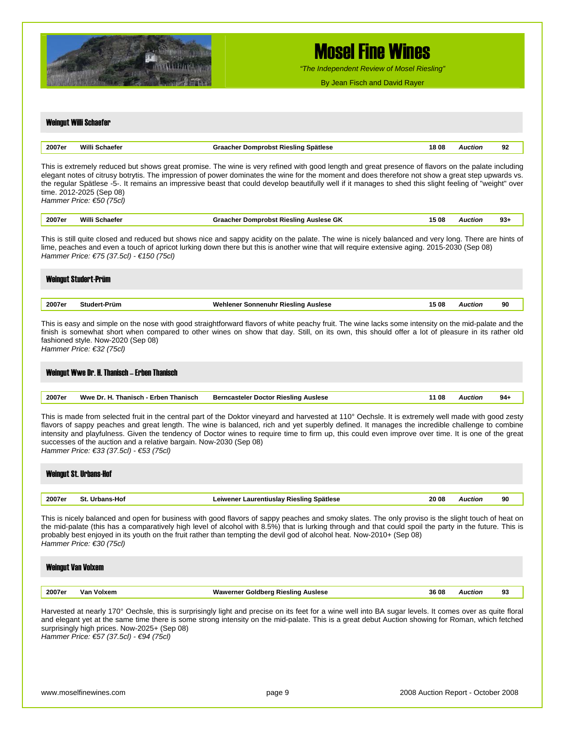

*"The Independent Review of Mosel Riesling"*

By Jean Fisch and David Rayer

## Weingut Willi Schaefer **2007er Willi Schaefer Graacher Domprobst Riesling Spätlese 18 08** *Auction* **92** This is extremely reduced but shows great promise. The wine is very refined with good length and great presence of flavors on the palate including elegant notes of citrusy botrytis. The impression of power dominates the wine for the moment and does therefore not show a great step upwards vs. the regular Spätlese -5-. It remains an impressive beast that could develop beautifully well if it manages to shed this slight feeling of "weight" over time. 2012-2025 (Sep 08) *Hammer Price: €50 (75cl)*  **2007er Willi Schaefer Graacher Domprobst Riesling Auslese GK 15 08** *Auction* **93+** This is still quite closed and reduced but shows nice and sappy acidity on the palate. The wine is nicely balanced and very long. There are hints of lime, peaches and even a touch of apricot lurking down there but this is another wine that will require extensive aging. 2015-2030 (Sep 08) *Hammer Price: €75 (37.5cl) - €150 (75cl)*  Weingut Studert-Prüm **2007er Studert-Prüm Wehlener Sonnenuhr Riesling Auslese 15 08** *Auction* **90** This is easy and simple on the nose with good straightforward flavors of white peachy fruit. The wine lacks some intensity on the mid-palate and the finish is somewhat short when compared to other wines on show that day. Still, on its own, this should offer a lot of pleasure in its rather old fashioned style. Now-2020 (Sep 08) *Hammer Price: €32 (75cl)*  Weingut Wwe Dr. H. Thanisch – Erben Thanisch **2007er Wwe Dr. H. Thanisch - Erben Thanisch Berncasteler Doctor Riesling Auslese 11 08** *Auction* **94+** This is made from selected fruit in the central part of the Doktor vineyard and harvested at 110° Oechsle. It is extremely well made with good zesty flavors of sappy peaches and great length. The wine is balanced, rich and yet superbly defined. It manages the incredible challenge to combine intensity and playfulness. Given the tendency of Doctor wines to require time to firm up, this could even improve over time. It is one of the great successes of the auction and a relative bargain. Now-2030 (Sep 08) *Hammer Price: €33 (37.5cl) - €53 (75cl)*  Weingut St. Urbans-Hof **2007er St. Urbans-Hof Leiwener Laurentiuslay Riesling Spätlese 20 08** *Auction* **90** This is nicely balanced and open for business with good flavors of sappy peaches and smoky slates. The only proviso is the slight touch of heat on the mid-palate (this has a comparatively high level of alcohol with 8.5%) that is lurking through and that could spoil the party in the future. This is probably best enjoyed in its youth on the fruit rather than tempting the devil god of alcohol heat. Now-2010+ (Sep 08) *Hammer Price: €30 (75cl)*  Weingut Van Volxem **2007er Van Volxem Wawerner Goldberg Riesling Auslese 36 08** *Auction* **93** Harvested at nearly 170° Oechsle, this is surprisingly light and precise on its feet for a wine well into BA sugar levels. It comes over as quite floral and elegant yet at the same time there is some strong intensity on the mid-palate. This is a great debut Auction showing for Roman, which fetched surprisingly high prices. Now-2025+ (Sep 08) *Hammer Price: €57 (37.5cl) - €94 (75cl)*